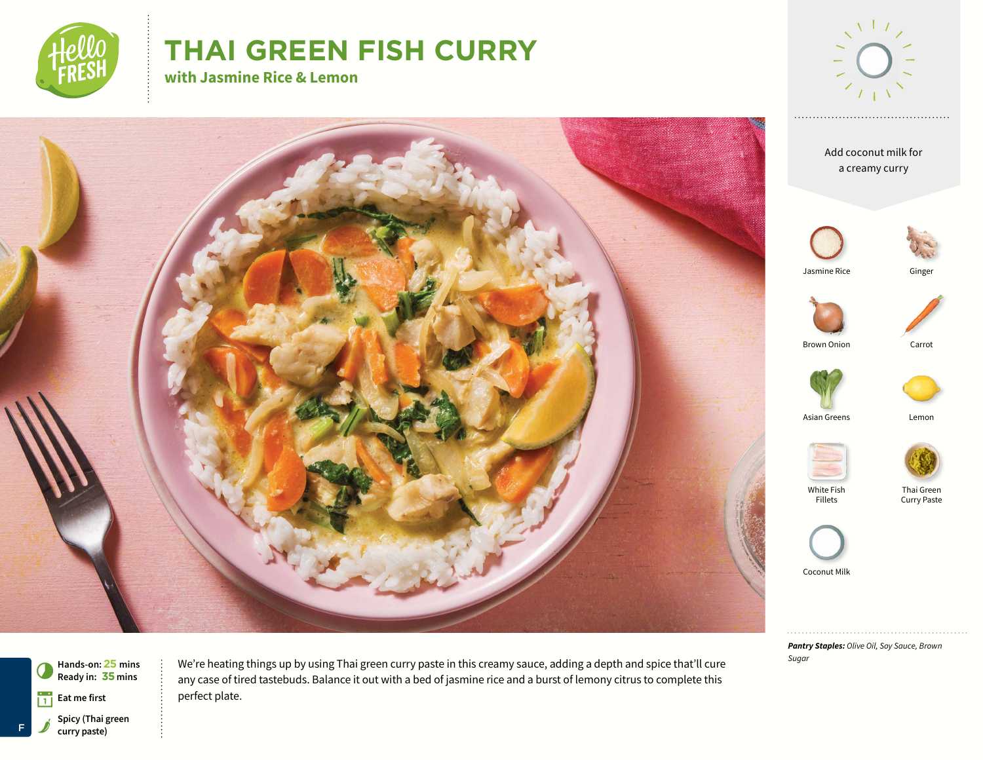

# **THAI GREEN FISH CURRY**

**with Jasmine Rice & Lemon**





*Pantry Staples: Olive Oil, Soy Sauce, Brown Sugar*



We're heating things up by using Thai green curry paste in this creamy sauce, adding a depth and spice that'll cure any case of tired tastebuds. Balance it out with a bed of jasmine rice and a burst of lemony citrus to complete this perfect plate.